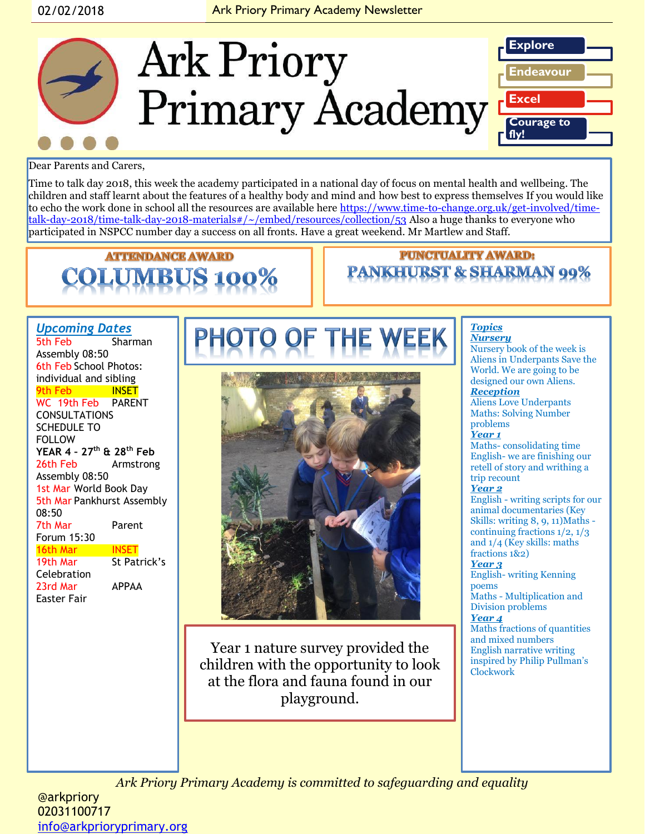

Dear Parents and Carers,

Time to talk day 2018, this week the academy participated in a national day of focus on mental health and wellbeing. The children and staff learnt about the features of a healthy body and mind and how best to express themselves If you would like to echo the work done in school all the resources are available here [https://www.time-to-change.org.uk/get-involved/time](https://www.time-to-change.org.uk/get-involved/time-talk-day-2018/time-talk-day-2018-materials#/~/embed/resources/collection/53)[talk-day-2018/time-talk-day-2018-materials#/~/embed/resources/collection/53](https://www.time-to-change.org.uk/get-involved/time-talk-day-2018/time-talk-day-2018-materials#/~/embed/resources/collection/53) Also a huge thanks to everyone who participated in NSPCC number day a success on all fronts. Have a great weekend. Mr Martlew and Staff.

# **ATTENDANCE AWARD**

### **PUNCTUALITY AWARD: PANKHURST & SHARMAN 99%**

#### *Upcoming Dates*

5th Feb Sharman Assembly 08:50 6th Feb School Photos: individual and sibling 9th Feb **INSET** WC 19th Feb PARENT CONSULTATIONS SCHEDULE TO FOLLOW **YEAR 4 – 27th & 28th Feb** 26th Feb Armstrong Assembly 08:50 1st Mar World Book Day 5th Mar Pankhurst Assembly 08:50 7th Mar Parent Forum 15:30 **16th Mar INSET**<br>19th Mar St Pat **St Patrick's** Celebration 23rd Mar APPAA Easter Fair



Year 1 nature survey provided the children with the opportunity to look at the flora and fauna found in our playground.

#### *Topics*

*Nursery* Nursery book of the week is Aliens in Underpants Save the World. We are going to be designed our own Aliens. *Reception*  Aliens Love Underpants Maths: Solving Number problems *Year 1* Maths- consolidating time English- we are finishing our retell of story and writhing a trip recount

#### *Year 2*

English - writing scripts for our animal documentaries (Key Skills: writing 8, 9, 11)Maths continuing fractions 1/2, 1/3 and 1/4 (Key skills: maths fractions 1&2)

#### *Year 3*

English- writing Kenning poems

Maths - Multiplication and Division problems *Year 4*

Maths fractions of quantities and mixed numbers English narrative writing inspired by Philip Pullman's Clockwork

*Ark Priory Primary Academy is committed to safeguarding and equality* 

@arkpriory 02031100717 [info@arkprioryprimary.org](mailto:info@arkprioryprimary.org)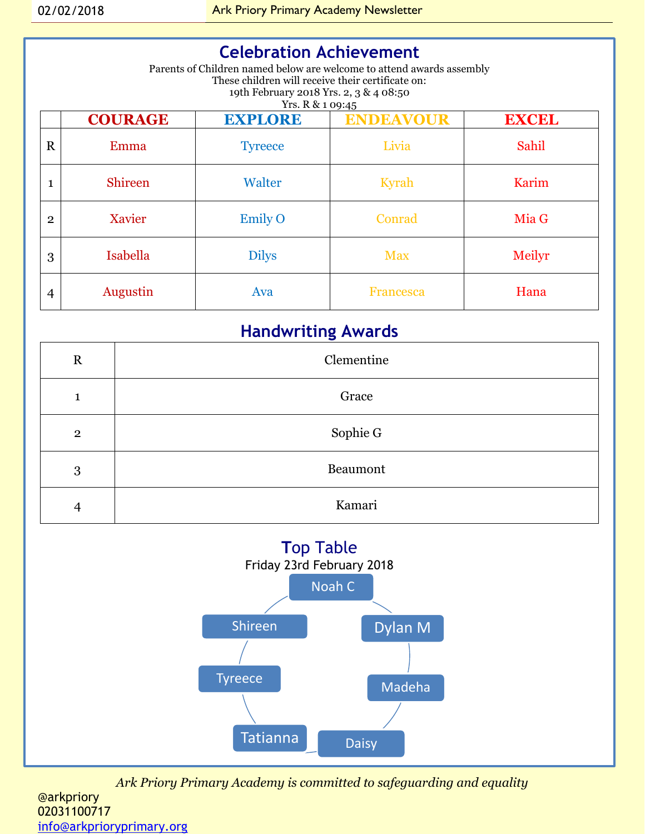## **Celebration Achievement**

Parents of Children named below are welcome to attend awards assembly These children will receive their certificate on: 19th February 2018 Yrs. 2, 3 & 4 08:50 Yrs. R & 1 09:45

|                | <b>COURAGE</b> | <b>EXPLORE</b> | $-2.10$<br><b>ENDEAVOUR</b> | <b>EXCEL</b> |
|----------------|----------------|----------------|-----------------------------|--------------|
| $\mathbf R$    | Emma           | <b>Tyreece</b> | Livia                       | Sahil        |
| 1              | <b>Shireen</b> | Walter         | Kyrah                       | Karim        |
| $\overline{2}$ | Xavier         | <b>Emily O</b> | Conrad                      | Mia G        |
| 3              | Isabella       | <b>Dilys</b>   | <b>Max</b>                  | Meilyr       |
| 4              | Augustin       | Ava            | <b>Francesca</b>            | Hana         |

## **Handwriting Awards**

| $\mathbf R$  | Clementine |  |
|--------------|------------|--|
| ⊣            | Grace      |  |
| $\mathbf{2}$ | Sophie G   |  |
| 3            | Beaumont   |  |
| 4            | Kamari     |  |



*Ark Priory Primary Academy is committed to safeguarding and equality*  @arkpriory 02031100717 [info@arkprioryprimary.org](mailto:info@arkprioryprimary.org)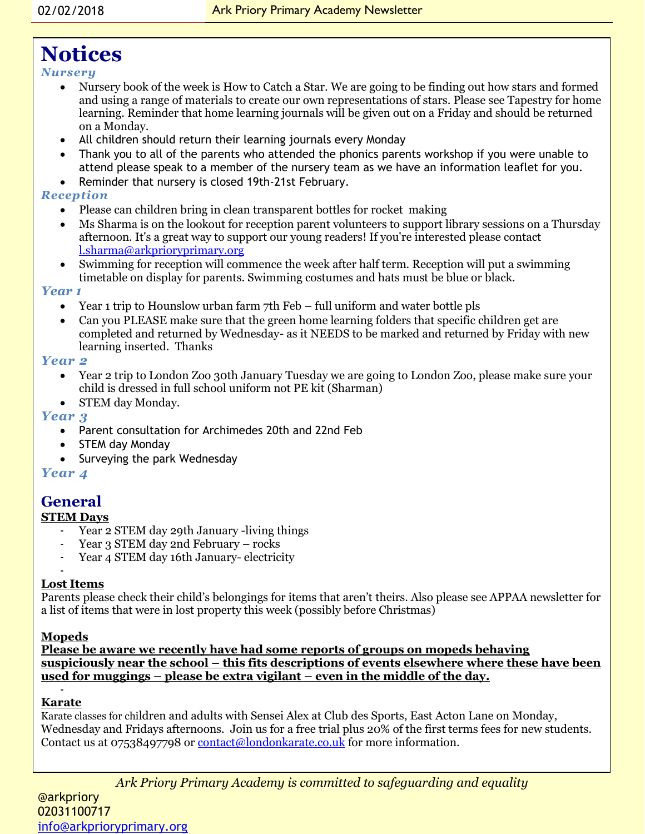## **Notices**

#### *Nursery*

- Nursery book of the week is How to Catch a Star. We are going to be finding out how stars and formed and using a range of materials to create our own representations of stars. Please see Tapestry for home learning. Reminder that home learning journals will be given out on a Friday and should be returned on a Monday.
- All children should return their learning journals every Monday
- Thank you to all of the parents who attended the phonics parents workshop if you were unable to attend please speak to a member of the nursery team as we have an information leaflet for you.
- Reminder that nursery is closed 19th-21st February.

#### *Reception*

- Please can children bring in clean transparent bottles for rocket making
- Ms Sharma is on the lookout for reception parent volunteers to support library sessions on a Thursday afternoon. It's a great way to support our young readers! If you're interested please contact [l.sharma@arkprioryprimary.org](mailto:l.sharma@arkprioryprimary.org)
- Swimming for reception will commence the week after half term. Reception will put a swimming timetable on display for parents. Swimming costumes and hats must be blue or black.

#### *Year 1*

- Year 1 trip to Hounslow urban farm 7th Feb full uniform and water bottle pls
- Can you PLEASE make sure that the green home learning folders that specific children get are completed and returned by Wednesday- as it NEEDS to be marked and returned by Friday with new learning inserted. Thanks

#### *Year 2*

- Year 2 trip to London Zoo 30th January Tuesday we are going to London Zoo, please make sure your child is dressed in full school uniform not PE kit (Sharman)
- STEM day Monday.

#### *Year 3*

- Parent consultation for Archimedes 20th and 22nd Feb
- STEM day Monday
- Surveying the park Wednesday

#### *Year 4*

#### **General**

#### **STEM Days**

- Year 2 STEM day 29th January -living things
- Year 3 STEM day 2nd February rocks
- Year 4 STEM day 16th January- electricity

#### - **Lost Items**

Parents please check their child's belongings for items that aren't theirs. Also please see APPAA newsletter for a list of items that were in lost property this week (possibly before Christmas)

#### **Mopeds**

**Please be aware we recently have had some reports of groups on mopeds behaving suspiciously near the school – this fits descriptions of events elsewhere where these have been used for muggings – please be extra vigilant – even in the middle of the day.**

#### - **Karate**

-

Karate classes for children and adults with Sensei Alex at Club des Sports, East Acton Lane on Monday, Wednesday and Fridays afternoons. Join us for a free trial plus 20% of the first terms fees for new students. Contact us at 07538497798 or [contact@londonkarate.co.uk](mailto:contact@londonkarate.co.uk) for more information.

*Ark Priory Primary Academy is committed to safeguarding and equality*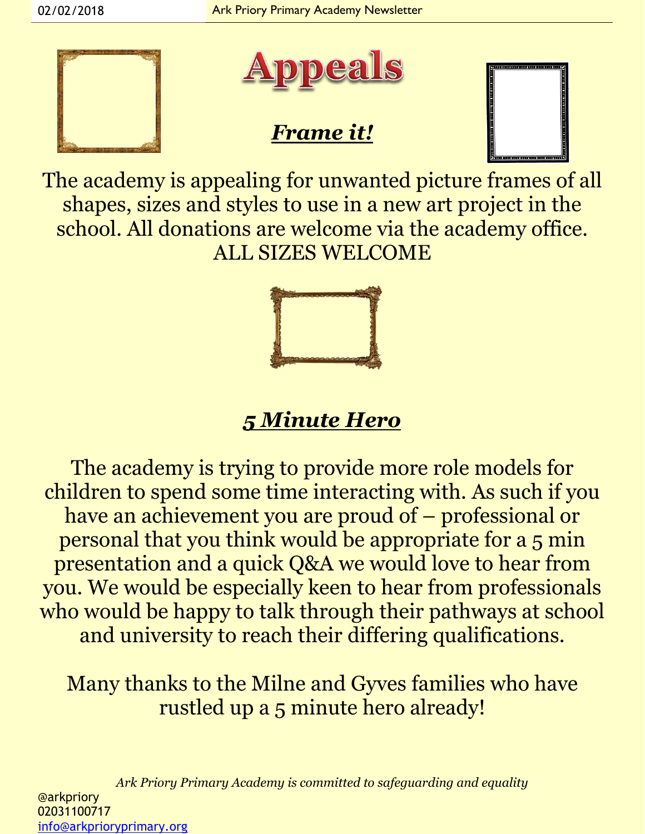



## *Frame it!*



The academy is appealing for unwanted picture frames of all shapes, sizes and styles to use in a new art project in the school. All donations are welcome via the academy office. ALL SIZES WELCOME



## *5 Minute Hero*

The academy is trying to provide more role models for children to spend some time interacting with. As such if you have an achievement you are proud of – professional or personal that you think would be appropriate for a 5 min presentation and a quick Q&A we would love to hear from you. We would be especially keen to hear from professionals who would be happy to talk through their pathways at school and university to reach their differing qualifications.

Many thanks to the Milne and Gyves families who have rustled up a 5 minute hero already!

*Ark Priory Primary Academy is committed to safeguarding and equality*  @arkpriory 02031100717 [info@arkprioryprimary.org](mailto:info@arkprioryprimary.org)